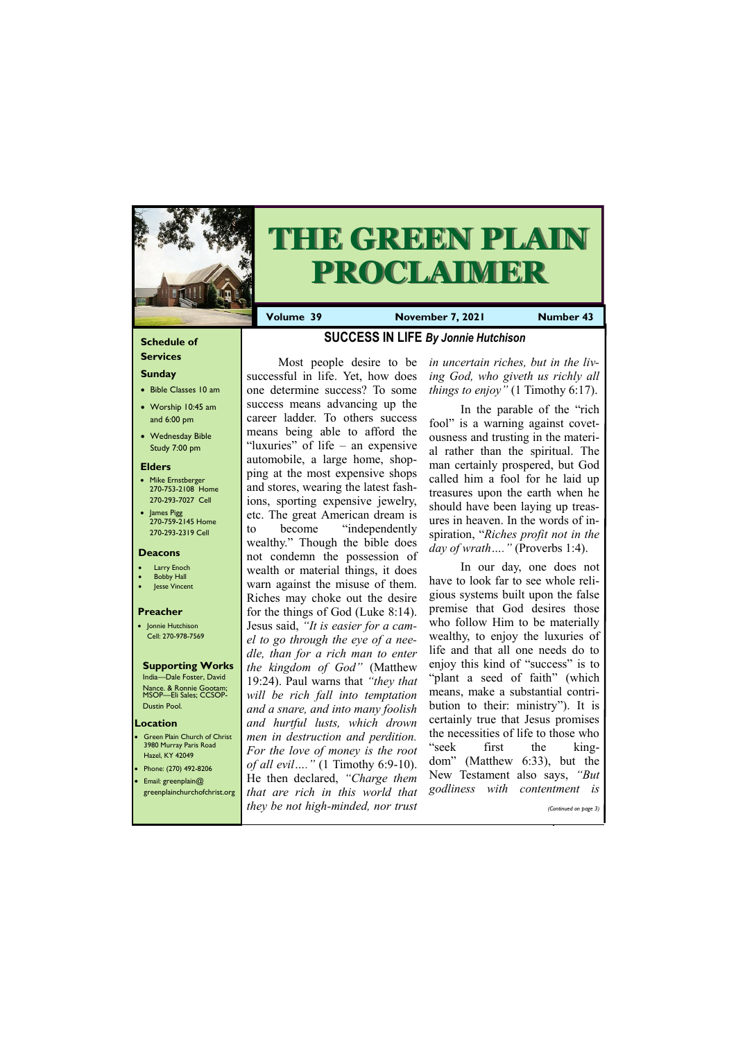#### **Schedule of Services**

### **Sunday**

- Bible Classes 10 am
- Worship 10:45 am and 6:00 pm
- Wednesday Bible Study 7:00 pm

#### **Elders**

Green Plain Church of Christ 3980 Murray Paris Road Hazel, KY 42049 • Phone: (270) 492-8206 • Email: greenplain@

- Mike Ernstberger 270-753-2108 Home 270-293-7027 Cell
- James Pigg 270-759-2145 Home 270-293-2319 Cell

#### **Location**



# **THE GREEN PLAIN PROCLAIMER**

**Volume 39 November 7, 2021 Number 43** 

#### **Deacons**

- **Larry Enoch**
- **Bobby Hall**
- Jesse Vincent

#### **Preacher**

• Jonnie Hutchison Cell: 270-978-7569

#### **Supporting Works**

India—Dale Foster, David Nance. & Ronnie Gootam; MSOP—Eli Sales; CCSOP-Dustin Pool.

### **SUCCESS IN LIFE** *By Jonnie Hutchison*

Most people desire to be successful in life. Yet, how does one determine success? To some success means advancing up the career ladder. To others success means being able to afford the "luxuries" of life – an expensive automobile, a large home, shopping at the most expensive shops and stores, wearing the latest fashions, sporting expensive jewelry, etc. The great American dream is to become "independently wealthy." Though the bible does not condemn the possession of wealth or material things, it does warn against the misuse of them. Riches may choke out the desire for the things of God (Luke 8:14). Jesus said, *"It is easier for a camel to go through the eye of a needle, than for a rich man to enter the kingdom of God"* (Matthew 19:24). Paul warns that *"they that will be rich fall into temptation and a snare, and into many foolish and hurtful lusts, which drown men in destruction and perdition. For the love of money is the root of all evil…."* (1 Timothy 6:9-10). He then declared, *"Charge them* 

| <b>greenplainchurchofchrist.org</b> that are rich in this world that godliness with contentment is |  |                       |  |
|----------------------------------------------------------------------------------------------------|--|-----------------------|--|
| they be not high-minded, nor trust                                                                 |  | (Continued on page 3) |  |
|                                                                                                    |  |                       |  |

*in uncertain riches, but in the living God, who giveth us richly all things to enjoy"* (1 Timothy 6:17).

In the parable of the "rich fool" is a warning against covetousness and trusting in the material rather than the spiritual. The man certainly prospered, but God called him a fool for he laid up treasures upon the earth when he should have been laying up treasures in heaven. In the words of inspiration, "*Riches profit not in the day of wrath…."* (Proverbs 1:4).

In our day, one does not have to look far to see whole religious systems built upon the false premise that God desires those who follow Him to be materially wealthy, to enjoy the luxuries of life and that all one needs do to enjoy this kind of "success" is to "plant a seed of faith" (which means, make a substantial contribution to their: ministry"). It is certainly true that Jesus promises the necessities of life to those who "seek first the kingdom" (Matthew 6:33), but the New Testament also says, *"But*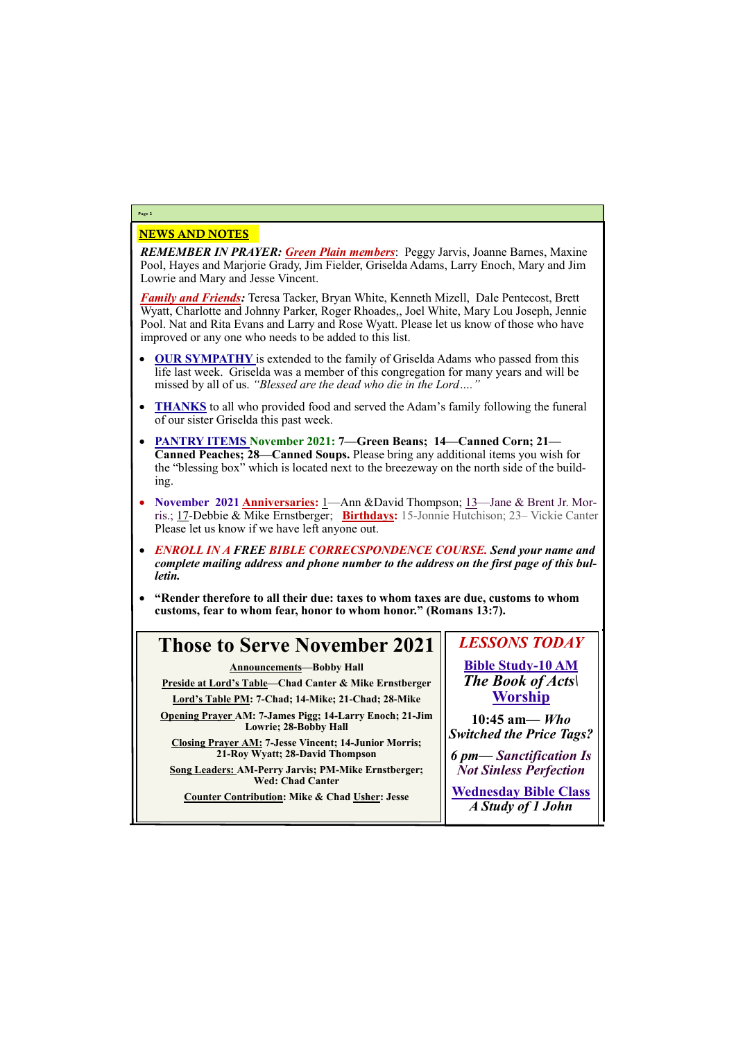### NEWS AND NOTES

*REMEMBER IN PRAYER: Green Plain members*: Peggy Jarvis, Joanne Barnes, Maxine Pool, Hayes and Marjorie Grady, Jim Fielder, Griselda Adams, Larry Enoch, Mary and Jim Lowrie and Mary and Jesse Vincent.

*Family and Friends:* Teresa Tacker, Bryan White, Kenneth Mizell, Dale Pentecost, Brett Wyatt, Charlotte and Johnny Parker, Roger Rhoades,, Joel White, Mary Lou Joseph, Jennie Pool. Nat and Rita Evans and Larry and Rose Wyatt. Please let us know of those who have improved or any one who needs to be added to this list.

- **OUR SYMPATHY** is extended to the family of Griselda Adams who passed from this life last week. Griselda was a member of this congregation for many years and will be missed by all of us. *"Blessed are the dead who die in the Lord…."*
- **THANKS** to all who provided food and served the Adam's family following the funeral of our sister Griselda this past week.
- **PANTRY ITEMS November 2021: 7—Green Beans; 14—Canned Corn; 21— Canned Peaches; 28—Canned Soups.** Please bring any additional items you wish for the "blessing box" which is located next to the breezeway on the north side of the building.
- **November 2021 Anniversaries:** 1—Ann &David Thompson; 13—Jane & Brent Jr. Morris.; 17-Debbie & Mike Ernstberger; **Birthdays:** 15-Jonnie Hutchison; 23– Vickie Canter Please let us know if we have left anyone out.
- *ENROLL IN A FREE BIBLE CORRECSPONDENCE COURSE. Send your name and complete mailing address and phone number to the address on the first page of this bulletin.*
- **"Render therefore to all their due: taxes to whom taxes are due, customs to whom customs, fear to whom fear, honor to whom honor." (Romans 13:7).**

### **Page 2**

## **Those to Serve November 2021**

**Announcements—Bobby Hall**

**Preside at Lord's Table—Chad Canter & Mike Ernstberger**

**Lord's Table PM: 7-Chad; 14-Mike; 21-Chad; 28-Mike**

**Opening Prayer AM: 7-James Pigg; 14-Larry Enoch; 21-Jim Lowrie; 28-Bobby Hall**

**Closing Prayer AM: 7-Jesse Vincent; 14-Junior Morris; 21-Roy Wyatt; 28-David Thompson**

**Song Leaders: AM-Perry Jarvis; PM-Mike Ernstberger; Wed: Chad Canter**

**Counter Contribution: Mike & Chad Usher: Jesse**

*LESSONS TODAY* **Bible Study-10 AM** *The Book of Acts\* **Worship**

**10:45 am***— Who Switched the Price Tags?*

*6 pm***—** *Sanctification Is Not Sinless Perfection*

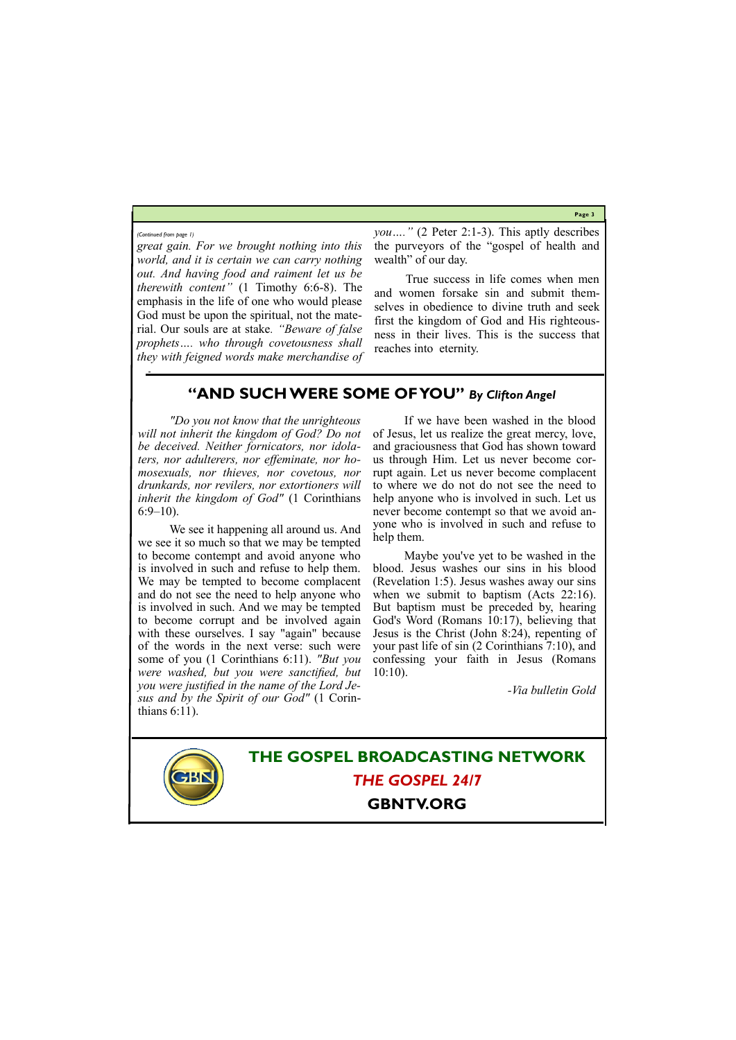**Page 3**

*you…."* (2 Peter 2:1-3). This aptly describes the purveyors of the "gospel of health and wealth" of our day.

*great gain. For we brought nothing into this world, and it is certain we can carry nothing out. And having food and raiment let us be therewith content"* (1 Timothy 6:6-8). The emphasis in the life of one who would please God must be upon the spiritual, not the material. Our souls are at stake*. "Beware of false prophets…. who through covetousness shall they with feigned words make merchandise of* 

*"Do you not know that the unrighteous will not inherit the kingdom of God? Do not be deceived. Neither fornicators, nor idolaters, nor adulterers, nor effeminate, nor homosexuals, nor thieves, nor covetous, nor drunkards, nor revilers, nor extortioners will inherit the kingdom of God"* (1 Corinthians  $6:9-10$ ).

True success in life comes when men and women forsake sin and submit themselves in obedience to divine truth and seek first the kingdom of God and His righteousness in their lives. This is the success that reaches into eternity.

*(Continued from page 1)*

**THE GOSPEL BROADCASTING NETWORK** *THE GOSPEL 24/7*

### **GBNTV.ORG**

### **"AND SUCH WERE SOME OF YOU"** *By Clifton Angel*

We see it happening all around us. And we see it so much so that we may be tempted to become contempt and avoid anyone who is involved in such and refuse to help them. We may be tempted to become complacent and do not see the need to help anyone who is involved in such. And we may be tempted to become corrupt and be involved again with these ourselves. I say "again" because of the words in the next verse: such were some of you (1 Corinthians 6:11). *"But you were washed, but you were sanctified, but you were justified in the name of the Lord Jesus and by the Spirit of our God"* (1 Corinthians 6:11).

If we have been washed in the blood of Jesus, let us realize the great mercy, love, and graciousness that God has shown toward us through Him. Let us never become corrupt again. Let us never become complacent to where we do not do not see the need to help anyone who is involved in such. Let us never become contempt so that we avoid anyone who is involved in such and refuse to help them.

Maybe you've yet to be washed in the blood. Jesus washes our sins in his blood (Revelation 1:5). Jesus washes away our sins when we submit to baptism (Acts 22:16). But baptism must be preceded by, hearing God's Word (Romans 10:17), believing that Jesus is the Christ (John 8:24), repenting of your past life of sin (2 Corinthians 7:10), and confessing your faith in Jesus (Romans 10:10).

*-Via bulletin Gold*